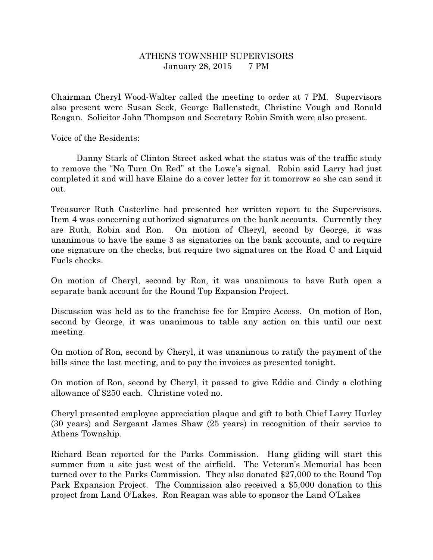## ATHENS TOWNSHIP SUPERVISORS January 28, 2015 7 PM

Chairman Cheryl Wood-Walter called the meeting to order at 7 PM. Supervisors also present were Susan Seck, George Ballenstedt, Christine Vough and Ronald Reagan. Solicitor John Thompson and Secretary Robin Smith were also present.

Voice of the Residents:

 Danny Stark of Clinton Street asked what the status was of the traffic study to remove the "No Turn On Red" at the Lowe's signal. Robin said Larry had just completed it and will have Elaine do a cover letter for it tomorrow so she can send it out.

Treasurer Ruth Casterline had presented her written report to the Supervisors. Item 4 was concerning authorized signatures on the bank accounts. Currently they are Ruth, Robin and Ron. On motion of Cheryl, second by George, it was unanimous to have the same 3 as signatories on the bank accounts, and to require one signature on the checks, but require two signatures on the Road C and Liquid Fuels checks.

On motion of Cheryl, second by Ron, it was unanimous to have Ruth open a separate bank account for the Round Top Expansion Project.

Discussion was held as to the franchise fee for Empire Access. On motion of Ron, second by George, it was unanimous to table any action on this until our next meeting.

On motion of Ron, second by Cheryl, it was unanimous to ratify the payment of the bills since the last meeting, and to pay the invoices as presented tonight.

On motion of Ron, second by Cheryl, it passed to give Eddie and Cindy a clothing allowance of \$250 each. Christine voted no.

Cheryl presented employee appreciation plaque and gift to both Chief Larry Hurley (30 years) and Sergeant James Shaw (25 years) in recognition of their service to Athens Township.

Richard Bean reported for the Parks Commission. Hang gliding will start this summer from a site just west of the airfield. The Veteran's Memorial has been turned over to the Parks Commission. They also donated \$27,000 to the Round Top Park Expansion Project. The Commission also received a \$5,000 donation to this project from Land O'Lakes. Ron Reagan was able to sponsor the Land O'Lakes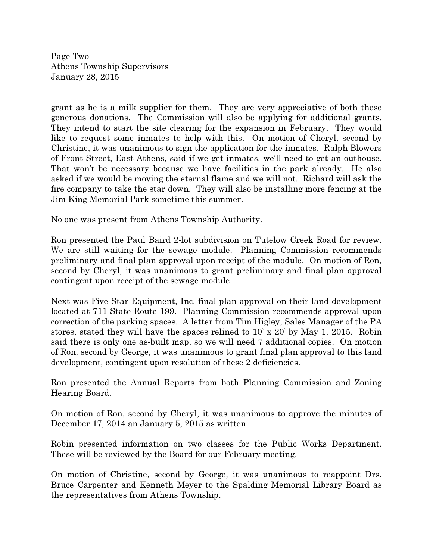Page Two Athens Township Supervisors January 28, 2015

grant as he is a milk supplier for them. They are very appreciative of both these generous donations. The Commission will also be applying for additional grants. They intend to start the site clearing for the expansion in February. They would like to request some inmates to help with this. On motion of Cheryl, second by Christine, it was unanimous to sign the application for the inmates. Ralph Blowers of Front Street, East Athens, said if we get inmates, we'll need to get an outhouse. That won't be necessary because we have facilities in the park already. He also asked if we would be moving the eternal flame and we will not. Richard will ask the fire company to take the star down. They will also be installing more fencing at the Jim King Memorial Park sometime this summer.

No one was present from Athens Township Authority.

Ron presented the Paul Baird 2-lot subdivision on Tutelow Creek Road for review. We are still waiting for the sewage module. Planning Commission recommends preliminary and final plan approval upon receipt of the module. On motion of Ron, second by Cheryl, it was unanimous to grant preliminary and final plan approval contingent upon receipt of the sewage module.

Next was Five Star Equipment, Inc. final plan approval on their land development located at 711 State Route 199. Planning Commission recommends approval upon correction of the parking spaces. A letter from Tim Higley, Sales Manager of the PA stores, stated they will have the spaces relined to 10' x 20' by May 1, 2015. Robin said there is only one as-built map, so we will need 7 additional copies. On motion of Ron, second by George, it was unanimous to grant final plan approval to this land development, contingent upon resolution of these 2 deficiencies.

Ron presented the Annual Reports from both Planning Commission and Zoning Hearing Board.

On motion of Ron, second by Cheryl, it was unanimous to approve the minutes of December 17, 2014 an January 5, 2015 as written.

Robin presented information on two classes for the Public Works Department. These will be reviewed by the Board for our February meeting.

On motion of Christine, second by George, it was unanimous to reappoint Drs. Bruce Carpenter and Kenneth Meyer to the Spalding Memorial Library Board as the representatives from Athens Township.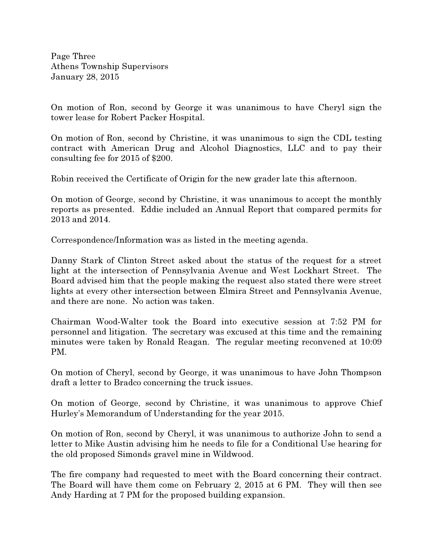Page Three Athens Township Supervisors January 28, 2015

On motion of Ron, second by George it was unanimous to have Cheryl sign the tower lease for Robert Packer Hospital.

On motion of Ron, second by Christine, it was unanimous to sign the CDL testing contract with American Drug and Alcohol Diagnostics, LLC and to pay their consulting fee for 2015 of \$200.

Robin received the Certificate of Origin for the new grader late this afternoon.

On motion of George, second by Christine, it was unanimous to accept the monthly reports as presented. Eddie included an Annual Report that compared permits for 2013 and 2014.

Correspondence/Information was as listed in the meeting agenda.

Danny Stark of Clinton Street asked about the status of the request for a street light at the intersection of Pennsylvania Avenue and West Lockhart Street. The Board advised him that the people making the request also stated there were street lights at every other intersection between Elmira Street and Pennsylvania Avenue, and there are none. No action was taken.

Chairman Wood-Walter took the Board into executive session at 7:52 PM for personnel and litigation. The secretary was excused at this time and the remaining minutes were taken by Ronald Reagan. The regular meeting reconvened at 10:09 PM.

On motion of Cheryl, second by George, it was unanimous to have John Thompson draft a letter to Bradco concerning the truck issues.

On motion of George, second by Christine, it was unanimous to approve Chief Hurley's Memorandum of Understanding for the year 2015.

On motion of Ron, second by Cheryl, it was unanimous to authorize John to send a letter to Mike Austin advising him he needs to file for a Conditional Use hearing for the old proposed Simonds gravel mine in Wildwood.

The fire company had requested to meet with the Board concerning their contract. The Board will have them come on February 2, 2015 at 6 PM. They will then see Andy Harding at 7 PM for the proposed building expansion.